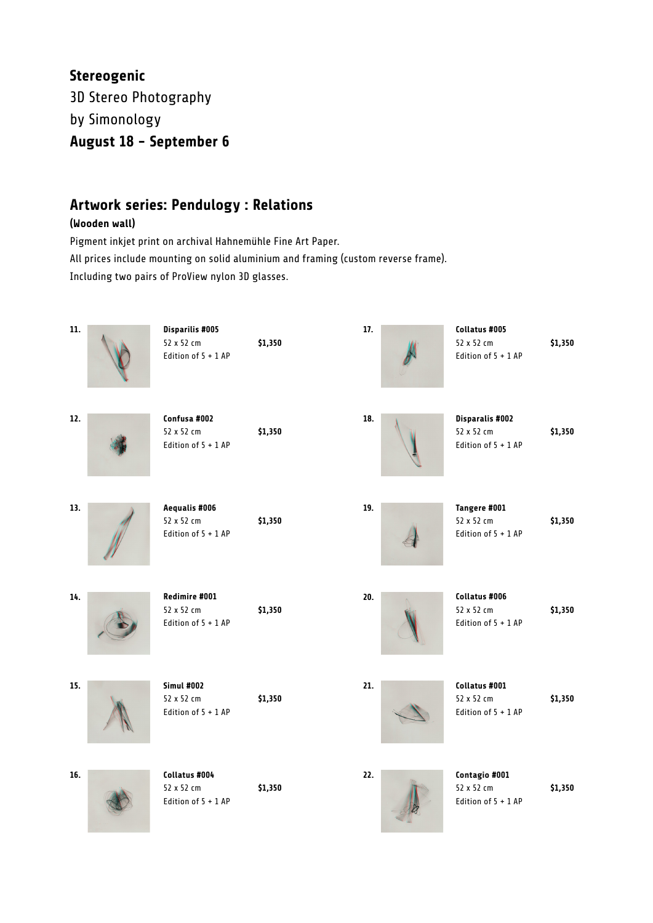## **Stereogenic** 3D Stereo Photography by Simonology **August 18 - September 6**

### **Artwork series: Pendulogy : Relations**

#### **(Wooden wall)**

Pigment inkjet print on archival Hahnemühle Fine Art Paper. All prices include mounting on solid aluminium and framing (custom reverse frame). Including two pairs of ProView nylon 3D glasses.

| 11. | <b>Disparilis #005</b><br>52 x 52 cm<br>Edition of 5 + 1 AP | \$1,350 | 17. | Collatus #005<br>52 x 52 cm<br>Edition of 5 + 1 AP          | \$1,350 |
|-----|-------------------------------------------------------------|---------|-----|-------------------------------------------------------------|---------|
| 12. | Confusa #002<br>52 x 52 cm<br>Edition of 5 + 1 AP           | \$1,350 | 18. | <b>Disparalis #002</b><br>52 x 52 cm<br>Edition of 5 + 1 AP | \$1,350 |
| 13. | Aequalis #006<br>52 x 52 cm<br>Edition of 5 + 1 AP          | \$1,350 | 19. | Tangere #001<br>52 x 52 cm<br>Edition of 5 + 1 AP           | \$1,350 |
| 14. | Redimire #001<br>52 x 52 cm<br>Edition of 5 + 1 AP          | \$1,350 | 20. | Collatus #006<br>52 x 52 cm<br>Edition of 5 + 1 AP          | \$1,350 |
| 15. | <b>Simul #002</b><br>52 x 52 cm<br>Edition of 5 + 1 AP      | \$1,350 | 21. | Collatus #001<br>52 x 52 cm<br>Edition of 5 + 1 AP          | \$1,350 |
| 16. | Collatus #004<br>52 x 52 cm<br>Edition of 5 + 1 AP          | \$1,350 | 22. | Contagio #001<br>52 x 52 cm<br>Edition of 5 + 1 AP          | \$1,350 |